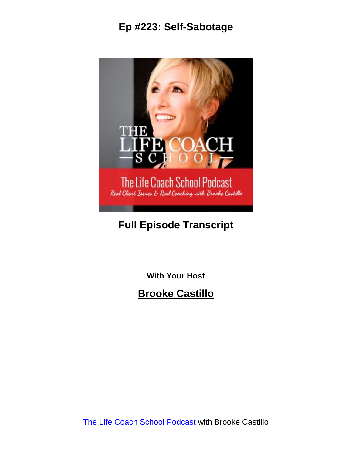

### **Full Episode Transcript**

**With Your Host**

**Brooke Castillo**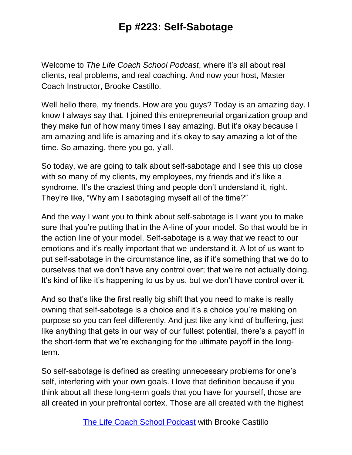Welcome to *The Life Coach School Podcast*, where it's all about real clients, real problems, and real coaching. And now your host, Master Coach Instructor, Brooke Castillo.

Well hello there, my friends. How are you guys? Today is an amazing day. I know I always say that. I joined this entrepreneurial organization group and they make fun of how many times I say amazing. But it's okay because I am amazing and life is amazing and it's okay to say amazing a lot of the time. So amazing, there you go, y'all.

So today, we are going to talk about self-sabotage and I see this up close with so many of my clients, my employees, my friends and it's like a syndrome. It's the craziest thing and people don't understand it, right. They're like, "Why am I sabotaging myself all of the time?"

And the way I want you to think about self-sabotage is I want you to make sure that you're putting that in the A-line of your model. So that would be in the action line of your model. Self-sabotage is a way that we react to our emotions and it's really important that we understand it. A lot of us want to put self-sabotage in the circumstance line, as if it's something that we do to ourselves that we don't have any control over; that we're not actually doing. It's kind of like it's happening to us by us, but we don't have control over it.

And so that's like the first really big shift that you need to make is really owning that self-sabotage is a choice and it's a choice you're making on purpose so you can feel differently. And just like any kind of buffering, just like anything that gets in our way of our fullest potential, there's a payoff in the short-term that we're exchanging for the ultimate payoff in the longterm.

So self-sabotage is defined as creating unnecessary problems for one's self, interfering with your own goals. I love that definition because if you think about all these long-term goals that you have for yourself, those are all created in your prefrontal cortex. Those are all created with the highest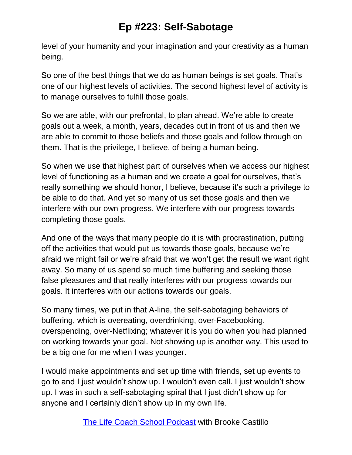level of your humanity and your imagination and your creativity as a human being.

So one of the best things that we do as human beings is set goals. That's one of our highest levels of activities. The second highest level of activity is to manage ourselves to fulfill those goals.

So we are able, with our prefrontal, to plan ahead. We're able to create goals out a week, a month, years, decades out in front of us and then we are able to commit to those beliefs and those goals and follow through on them. That is the privilege, I believe, of being a human being.

So when we use that highest part of ourselves when we access our highest level of functioning as a human and we create a goal for ourselves, that's really something we should honor, I believe, because it's such a privilege to be able to do that. And yet so many of us set those goals and then we interfere with our own progress. We interfere with our progress towards completing those goals.

And one of the ways that many people do it is with procrastination, putting off the activities that would put us towards those goals, because we're afraid we might fail or we're afraid that we won't get the result we want right away. So many of us spend so much time buffering and seeking those false pleasures and that really interferes with our progress towards our goals. It interferes with our actions towards our goals.

So many times, we put in that A-line, the self-sabotaging behaviors of buffering, which is overeating, overdrinking, over-Facebooking, overspending, over-Netflixing; whatever it is you do when you had planned on working towards your goal. Not showing up is another way. This used to be a big one for me when I was younger.

I would make appointments and set up time with friends, set up events to go to and I just wouldn't show up. I wouldn't even call. I just wouldn't show up. I was in such a self-sabotaging spiral that I just didn't show up for anyone and I certainly didn't show up in my own life.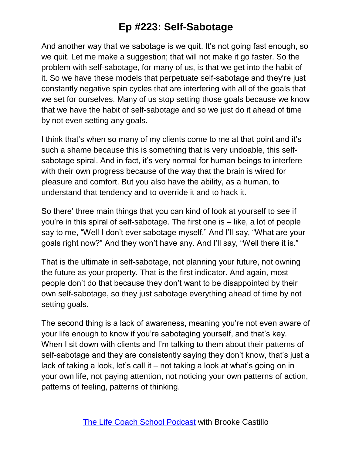And another way that we sabotage is we quit. It's not going fast enough, so we quit. Let me make a suggestion; that will not make it go faster. So the problem with self-sabotage, for many of us, is that we get into the habit of it. So we have these models that perpetuate self-sabotage and they're just constantly negative spin cycles that are interfering with all of the goals that we set for ourselves. Many of us stop setting those goals because we know that we have the habit of self-sabotage and so we just do it ahead of time by not even setting any goals.

I think that's when so many of my clients come to me at that point and it's such a shame because this is something that is very undoable, this selfsabotage spiral. And in fact, it's very normal for human beings to interfere with their own progress because of the way that the brain is wired for pleasure and comfort. But you also have the ability, as a human, to understand that tendency and to override it and to hack it.

So there' three main things that you can kind of look at yourself to see if you're in this spiral of self-sabotage. The first one is – like, a lot of people say to me, "Well I don't ever sabotage myself." And I'll say, "What are your goals right now?" And they won't have any. And I'll say, "Well there it is."

That is the ultimate in self-sabotage, not planning your future, not owning the future as your property. That is the first indicator. And again, most people don't do that because they don't want to be disappointed by their own self-sabotage, so they just sabotage everything ahead of time by not setting goals.

The second thing is a lack of awareness, meaning you're not even aware of your life enough to know if you're sabotaging yourself, and that's key. When I sit down with clients and I'm talking to them about their patterns of self-sabotage and they are consistently saying they don't know, that's just a lack of taking a look, let's call it – not taking a look at what's going on in your own life, not paying attention, not noticing your own patterns of action, patterns of feeling, patterns of thinking.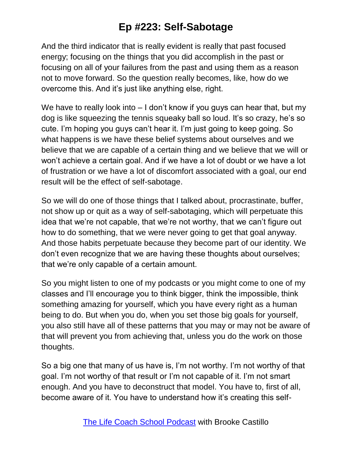And the third indicator that is really evident is really that past focused energy; focusing on the things that you did accomplish in the past or focusing on all of your failures from the past and using them as a reason not to move forward. So the question really becomes, like, how do we overcome this. And it's just like anything else, right.

We have to really look into – I don't know if you guys can hear that, but my dog is like squeezing the tennis squeaky ball so loud. It's so crazy, he's so cute. I'm hoping you guys can't hear it. I'm just going to keep going. So what happens is we have these belief systems about ourselves and we believe that we are capable of a certain thing and we believe that we will or won't achieve a certain goal. And if we have a lot of doubt or we have a lot of frustration or we have a lot of discomfort associated with a goal, our end result will be the effect of self-sabotage.

So we will do one of those things that I talked about, procrastinate, buffer, not show up or quit as a way of self-sabotaging, which will perpetuate this idea that we're not capable, that we're not worthy, that we can't figure out how to do something, that we were never going to get that goal anyway. And those habits perpetuate because they become part of our identity. We don't even recognize that we are having these thoughts about ourselves; that we're only capable of a certain amount.

So you might listen to one of my podcasts or you might come to one of my classes and I'll encourage you to think bigger, think the impossible, think something amazing for yourself, which you have every right as a human being to do. But when you do, when you set those big goals for yourself, you also still have all of these patterns that you may or may not be aware of that will prevent you from achieving that, unless you do the work on those thoughts.

So a big one that many of us have is, I'm not worthy. I'm not worthy of that goal. I'm not worthy of that result or I'm not capable of it. I'm not smart enough. And you have to deconstruct that model. You have to, first of all, become aware of it. You have to understand how it's creating this self-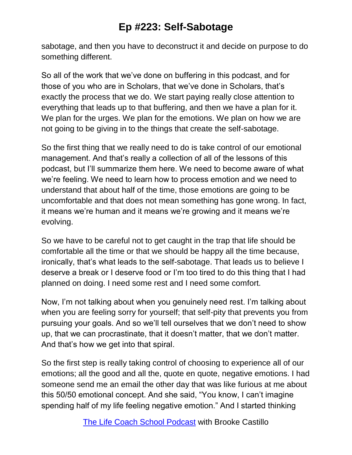sabotage, and then you have to deconstruct it and decide on purpose to do something different.

So all of the work that we've done on buffering in this podcast, and for those of you who are in Scholars, that we've done in Scholars, that's exactly the process that we do. We start paying really close attention to everything that leads up to that buffering, and then we have a plan for it. We plan for the urges. We plan for the emotions. We plan on how we are not going to be giving in to the things that create the self-sabotage.

So the first thing that we really need to do is take control of our emotional management. And that's really a collection of all of the lessons of this podcast, but I'll summarize them here. We need to become aware of what we're feeling. We need to learn how to process emotion and we need to understand that about half of the time, those emotions are going to be uncomfortable and that does not mean something has gone wrong. In fact, it means we're human and it means we're growing and it means we're evolving.

So we have to be careful not to get caught in the trap that life should be comfortable all the time or that we should be happy all the time because, ironically, that's what leads to the self-sabotage. That leads us to believe I deserve a break or I deserve food or I'm too tired to do this thing that I had planned on doing. I need some rest and I need some comfort.

Now, I'm not talking about when you genuinely need rest. I'm talking about when you are feeling sorry for yourself; that self-pity that prevents you from pursuing your goals. And so we'll tell ourselves that we don't need to show up, that we can procrastinate, that it doesn't matter, that we don't matter. And that's how we get into that spiral.

So the first step is really taking control of choosing to experience all of our emotions; all the good and all the, quote en quote, negative emotions. I had someone send me an email the other day that was like furious at me about this 50/50 emotional concept. And she said, "You know, I can't imagine spending half of my life feeling negative emotion." And I started thinking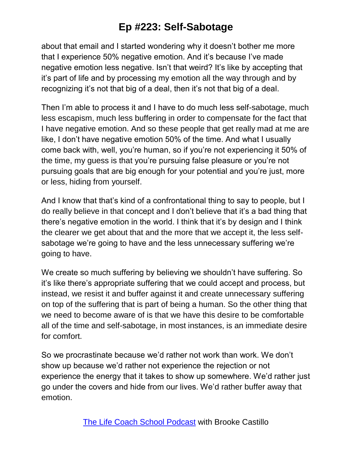about that email and I started wondering why it doesn't bother me more that I experience 50% negative emotion. And it's because I've made negative emotion less negative. Isn't that weird? It's like by accepting that it's part of life and by processing my emotion all the way through and by recognizing it's not that big of a deal, then it's not that big of a deal.

Then I'm able to process it and I have to do much less self-sabotage, much less escapism, much less buffering in order to compensate for the fact that I have negative emotion. And so these people that get really mad at me are like, I don't have negative emotion 50% of the time. And what I usually come back with, well, you're human, so if you're not experiencing it 50% of the time, my guess is that you're pursuing false pleasure or you're not pursuing goals that are big enough for your potential and you're just, more or less, hiding from yourself.

And I know that that's kind of a confrontational thing to say to people, but I do really believe in that concept and I don't believe that it's a bad thing that there's negative emotion in the world. I think that it's by design and I think the clearer we get about that and the more that we accept it, the less selfsabotage we're going to have and the less unnecessary suffering we're going to have.

We create so much suffering by believing we shouldn't have suffering. So it's like there's appropriate suffering that we could accept and process, but instead, we resist it and buffer against it and create unnecessary suffering on top of the suffering that is part of being a human. So the other thing that we need to become aware of is that we have this desire to be comfortable all of the time and self-sabotage, in most instances, is an immediate desire for comfort.

So we procrastinate because we'd rather not work than work. We don't show up because we'd rather not experience the rejection or not experience the energy that it takes to show up somewhere. We'd rather just go under the covers and hide from our lives. We'd rather buffer away that emotion.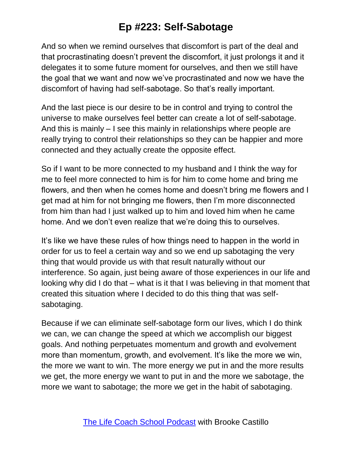And so when we remind ourselves that discomfort is part of the deal and that procrastinating doesn't prevent the discomfort, it just prolongs it and it delegates it to some future moment for ourselves, and then we still have the goal that we want and now we've procrastinated and now we have the discomfort of having had self-sabotage. So that's really important.

And the last piece is our desire to be in control and trying to control the universe to make ourselves feel better can create a lot of self-sabotage. And this is mainly – I see this mainly in relationships where people are really trying to control their relationships so they can be happier and more connected and they actually create the opposite effect.

So if I want to be more connected to my husband and I think the way for me to feel more connected to him is for him to come home and bring me flowers, and then when he comes home and doesn't bring me flowers and I get mad at him for not bringing me flowers, then I'm more disconnected from him than had I just walked up to him and loved him when he came home. And we don't even realize that we're doing this to ourselves.

It's like we have these rules of how things need to happen in the world in order for us to feel a certain way and so we end up sabotaging the very thing that would provide us with that result naturally without our interference. So again, just being aware of those experiences in our life and looking why did I do that – what is it that I was believing in that moment that created this situation where I decided to do this thing that was selfsabotaging.

Because if we can eliminate self-sabotage form our lives, which I do think we can, we can change the speed at which we accomplish our biggest goals. And nothing perpetuates momentum and growth and evolvement more than momentum, growth, and evolvement. It's like the more we win, the more we want to win. The more energy we put in and the more results we get, the more energy we want to put in and the more we sabotage, the more we want to sabotage; the more we get in the habit of sabotaging.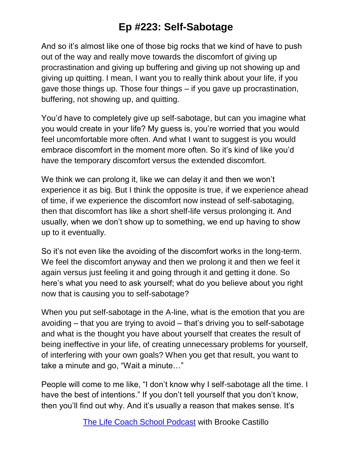And so it's almost like one of those big rocks that we kind of have to push out of the way and really move towards the discomfort of giving up procrastination and giving up buffering and giving up not showing up and giving up quitting. I mean, I want you to really think about your life, if you gave those things up. Those four things – if you gave up procrastination, buffering, not showing up, and quitting.

You'd have to completely give up self-sabotage, but can you imagine what you would create in your life? My guess is, you're worried that you would feel uncomfortable more often. And what I want to suggest is you would embrace discomfort in the moment more often. So it's kind of like you'd have the temporary discomfort versus the extended discomfort.

We think we can prolong it, like we can delay it and then we won't experience it as big. But I think the opposite is true, if we experience ahead of time, if we experience the discomfort now instead of self-sabotaging, then that discomfort has like a short shelf-life versus prolonging it. And usually, when we don't show up to something, we end up having to show up to it eventually.

So it's not even like the avoiding of the discomfort works in the long-term. We feel the discomfort anyway and then we prolong it and then we feel it again versus just feeling it and going through it and getting it done. So here's what you need to ask yourself; what do you believe about you right now that is causing you to self-sabotage?

When you put self-sabotage in the A-line, what is the emotion that you are avoiding – that you are trying to avoid – that's driving you to self-sabotage and what is the thought you have about yourself that creates the result of being ineffective in your life, of creating unnecessary problems for yourself, of interfering with your own goals? When you get that result, you want to take a minute and go, "Wait a minute…"

People will come to me like, "I don't know why I self-sabotage all the time. I have the best of intentions." If you don't tell yourself that you don't know, then you'll find out why. And it's usually a reason that makes sense. It's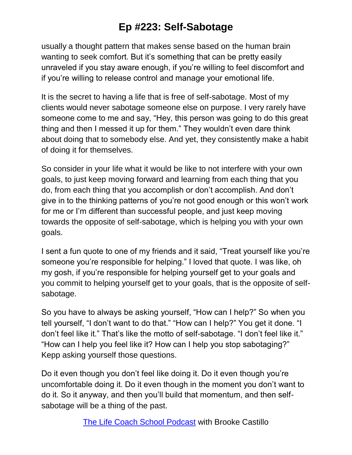usually a thought pattern that makes sense based on the human brain wanting to seek comfort. But it's something that can be pretty easily unraveled if you stay aware enough, if you're willing to feel discomfort and if you're willing to release control and manage your emotional life.

It is the secret to having a life that is free of self-sabotage. Most of my clients would never sabotage someone else on purpose. I very rarely have someone come to me and say, "Hey, this person was going to do this great thing and then I messed it up for them." They wouldn't even dare think about doing that to somebody else. And yet, they consistently make a habit of doing it for themselves.

So consider in your life what it would be like to not interfere with your own goals, to just keep moving forward and learning from each thing that you do, from each thing that you accomplish or don't accomplish. And don't give in to the thinking patterns of you're not good enough or this won't work for me or I'm different than successful people, and just keep moving towards the opposite of self-sabotage, which is helping you with your own goals.

I sent a fun quote to one of my friends and it said, "Treat yourself like you're someone you're responsible for helping." I loved that quote. I was like, oh my gosh, if you're responsible for helping yourself get to your goals and you commit to helping yourself get to your goals, that is the opposite of selfsabotage.

So you have to always be asking yourself, "How can I help?" So when you tell yourself, "I don't want to do that." "How can I help?" You get it done. "I don't feel like it." That's like the motto of self-sabotage. "I don't feel like it." "How can I help you feel like it? How can I help you stop sabotaging?" Kepp asking yourself those questions.

Do it even though you don't feel like doing it. Do it even though you're uncomfortable doing it. Do it even though in the moment you don't want to do it. So it anyway, and then you'll build that momentum, and then selfsabotage will be a thing of the past.